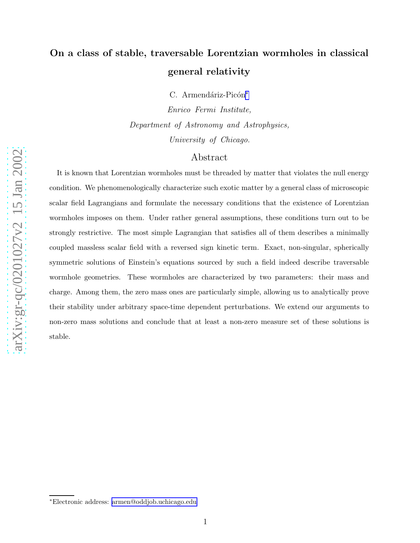# On a class of stable, traversable Lorentzian wormholes in classical general relativity

C. Armendáriz-Picón\*

Enrico Fermi Institute, Department of Astronomy and Astrophysics, University of Chicago.

# Abstract

It is known that Lorentzian wormholes must be threaded by matter that violates the null energy condition. We phenomenologically characterize such exotic matter by a general class of microscopic scalar field Lagrangians and formulate the necessary conditions that the existence of Lorentzian wormholes imposes on them. Under rather general assumptions, these conditions turn out to be strongly restrictive. The most simple Lagrangian that satisfies all of them describes a minimally coupled massless scalar field with a reversed sign kinetic term. Exact, non-singular, spherically symmetric solutions of Einstein's equations sourced by such a field indeed describe traversable wormhole geometries. These wormholes are characterized by two parameters: their mass and charge. Among them, the zero mass ones are particularly simple, allowing us to analytically prove their stability under arbitrary space-time dependent perturbations. We extend our arguments to non-zero mass solutions and conclude that at least a non-zero measure set of these solutions is stable.

<sup>∗</sup>Electronic address: [armen@oddjob.uchicago.edu](mailto:armen@oddjob.uchicago.edu)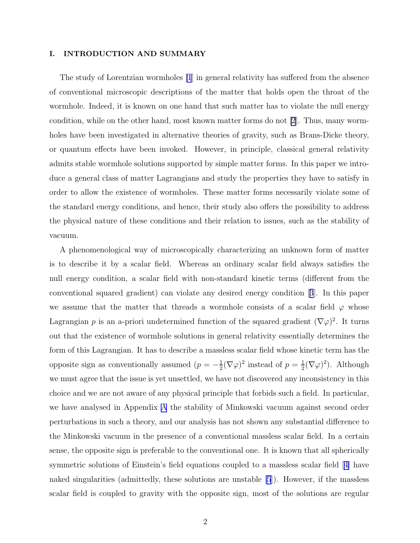## I. INTRODUCTION AND SUMMARY

The study of Lorentzian wormholes [\[1](#page-21-0)] in general relativity has suffered from the absence of conventional microscopic descriptions of the matter that holds open the throat of the wormhole. Indeed, it is known on one hand that such matter has to violate the null energy condition, while on the other hand, most known matter forms do not [\[2](#page-21-0)]. Thus, many wormholes have been investigated in alternative theories of gravity, such as Brans-Dicke theory, or quantum effects have been invoked. However, in principle, classical general relativity admits stable wormhole solutions supported by simple matter forms. In this paper we introduce a general class of matter Lagrangians and study the properties they have to satisfy in order to allow the existence of wormholes. These matter forms necessarily violate some of the standard energy conditions, and hence, their study also offers the possibility to address the physical nature of these conditions and their relation to issues, such as the stability of vacuum.

A phenomenological way of microscopically characterizing an unknown form of matter is to describe it by a scalar field. Whereas an ordinary scalar field always satisfies the null energy condition, a scalar field with non-standard kinetic terms (different from the conventional squared gradient) can violate any desired energy condition[[3](#page-21-0)]. In this paper we assume that the matter that threads a wormhole consists of a scalar field  $\varphi$  whose Lagrangian p is an a-priori undetermined function of the squared gradient  $(\nabla \varphi)^2$ . It turns out that the existence of wormhole solutions in general relativity essentially determines the form of this Lagrangian. It has to describe a massless scalar field whose kinetic term has the opposite sign as conventionally assumed  $(p = -\frac{1}{2})$  $\frac{1}{2}(\nabla\varphi)^2$  instead of  $p=\frac{1}{2}$  $\frac{1}{2}(\nabla\varphi)^2$ ). Although we must agree that the issue is yet unsettled, we have not discovered any inconsistency in this choice and we are not aware of any physical principle that forbids such a field. In particular, we have analysed in Appendix [A](#page-17-0) the stability of Minkowski vacuum against second order perturbations in such a theory, and our analysis has not shown any substantial difference to the Minkowski vacuum in the presence of a conventional massless scalar field. In a certain sense, the opposite sign is preferable to the conventional one. It is known that all spherically symmetric solutions of Einstein's field equations coupled to a massless scalar field[[4\]](#page-21-0) have naked singularities (admittedly, these solutions are unstable [\[5](#page-21-0)]). However, if the massless scalar field is coupled to gravity with the opposite sign, most of the solutions are regular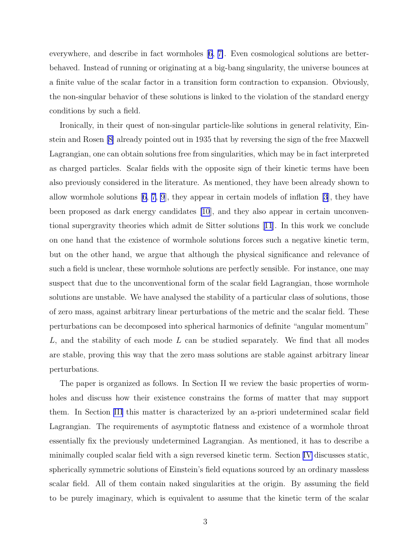everywhere, and describe in fact wormholes [\[6, 7\]](#page-21-0). Even cosmological solutions are betterbehaved. Instead of running or originating at a big-bang singularity, the universe bounces at a finite value of the scalar factor in a transition form contraction to expansion. Obviously, the non-singular behavior of these solutions is linked to the violation of the standard energy conditions by such a field.

Ironically, in their quest of non-singular particle-like solutions in general relativity, Einstein and Rosen [\[8](#page-21-0)] already pointed out in 1935 that by reversing the sign of the free Maxwell Lagrangian, one can obtain solutions free from singularities, which may be in fact interpreted as charged particles. Scalar fields with the opposite sign of their kinetic terms have been also previously considered in the literature. As mentioned, they have been already shown to allowwormhole solutions  $(6, 7, 9)$  $(6, 7, 9)$  $(6, 7, 9)$  $(6, 7, 9)$  $(6, 7, 9)$ , they appear in certain models of inflation  $(3)$ , they have been proposed as dark energy candidates [\[10](#page-21-0)], and they also appear in certain unconventional supergravity theories which admit de Sitter solutions[[11](#page-21-0)]. In this work we conclude on one hand that the existence of wormhole solutions forces such a negative kinetic term, but on the other hand, we argue that although the physical significance and relevance of such a field is unclear, these wormhole solutions are perfectly sensible. For instance, one may suspect that due to the unconventional form of the scalar field Lagrangian, those wormhole solutions are unstable. We have analysed the stability of a particular class of solutions, those of zero mass, against arbitrary linear perturbations of the metric and the scalar field. These perturbations can be decomposed into spherical harmonics of definite "angular momentum"  $L$ , and the stability of each mode  $L$  can be studied separately. We find that all modes are stable, proving this way that the zero mass solutions are stable against arbitrary linear perturbations.

The paper is organized as follows. In Section II we review the basic properties of wormholes and discuss how their existence constrains the forms of matter that may support them. In Section [III](#page-5-0) this matter is characterized by an a-priori undetermined scalar field Lagrangian. The requirements of asymptotic flatness and existence of a wormhole throat essentially fix the previously undetermined Lagrangian. As mentioned, it has to describe a minimally coupled scalar field with a sign reversed kinetic term. Section [IV](#page-9-0) discusses static, spherically symmetric solutions of Einstein's field equations sourced by an ordinary massless scalar field. All of them contain naked singularities at the origin. By assuming the field to be purely imaginary, which is equivalent to assume that the kinetic term of the scalar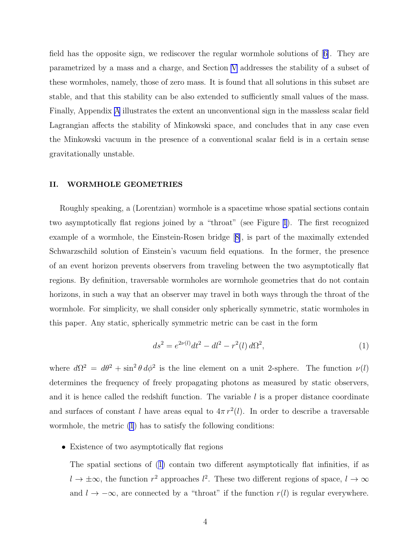<span id="page-3-0"></span>field has the opposite sign, we rediscover the regular wormhole solutions of[[6\]](#page-21-0). They are parametrized by a mass and a charge, and Section [V](#page-11-0) addresses the stability of a subset of these wormholes, namely, those of zero mass. It is found that all solutions in this subset are stable, and that this stability can be also extended to sufficiently small values of the mass. Finally, Appendix [A](#page-17-0) illustrates the extent an unconventional sign in the massless scalar field Lagrangian affects the stability of Minkowski space, and concludes that in any case even the Minkowski vacuum in the presence of a conventional scalar field is in a certain sense gravitationally unstable.

## II. WORMHOLE GEOMETRIES

Roughly speaking, a (Lorentzian) wormhole is a spacetime whose spatial sections contain two asymptotically flat regions joined by a "throat" (see Figure [1](#page-5-0)). The first recognized example of a wormhole, the Einstein-Rosen bridge[[8\]](#page-21-0), is part of the maximally extended Schwarzschild solution of Einstein's vacuum field equations. In the former, the presence of an event horizon prevents observers from traveling between the two asymptotically flat regions. By definition, traversable wormholes are wormhole geometries that do not contain horizons, in such a way that an observer may travel in both ways through the throat of the wormhole. For simplicity, we shall consider only spherically symmetric, static wormholes in this paper. Any static, spherically symmetric metric can be cast in the form

$$
ds^{2} = e^{2\nu(l)}dt^{2} - dl^{2} - r^{2}(l) d\Omega^{2},
$$
\n(1)

where  $d\Omega^2 = d\theta^2 + \sin^2 \theta d\phi^2$  is the line element on a unit 2-sphere. The function  $\nu(l)$ determines the frequency of freely propagating photons as measured by static observers, and it is hence called the redshift function. The variable  $l$  is a proper distance coordinate and surfaces of constant l have areas equal to  $4\pi r^2(l)$ . In order to describe a traversable wormhole, the metric (1) has to satisfy the following conditions:

• Existence of two asymptotically flat regions

The spatial sections of (1) contain two different asymptotically flat infinities, if as  $l \to \pm \infty$ , the function  $r^2$  approaches  $l^2$ . These two different regions of space,  $l \to \infty$ and  $l \to -\infty$ , are connected by a "throat" if the function  $r(l)$  is regular everywhere.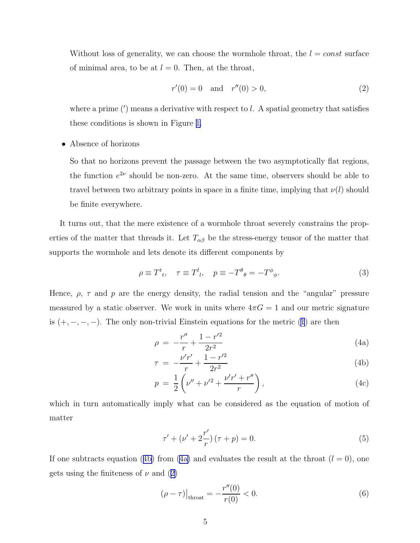<span id="page-4-0"></span>Without loss of generality, we can choose the wormhole throat, the  $l = const$  surface of minimal area, to be at  $l = 0$ . Then, at the throat,

$$
r'(0) = 0 \quad \text{and} \quad r''(0) > 0,\tag{2}
$$

where a prime  $(')$  means a derivative with respect to  $l$ . A spatial geometry that satisfies these conditions is shown in Figure [1.](#page-5-0)

# • Absence of horizons

So that no horizons prevent the passage between the two asymptotically flat regions, the function  $e^{2\nu}$  should be non-zero. At the same time, observers should be able to travel between two arbitrary points in space in a finite time, implying that  $\nu(l)$  should be finite everywhere.

It turns out, that the mere existence of a wormhole throat severely constrains the properties of the matter that threads it. Let  $T_{\alpha\beta}$  be the stress-energy tensor of the matter that supports the wormhole and lets denote its different components by

$$
\rho \equiv T^t{}_t, \quad \tau \equiv T^l{}_l, \quad p \equiv -T^\theta{}_0 = -T^\phi{}_\phi. \tag{3}
$$

Hence,  $\rho$ ,  $\tau$  and  $p$  are the energy density, the radial tension and the "angular" pressure measured by a static observer. We work in units where  $4\pi G = 1$  and our metric signature is $(+, -, -, -)$ . The only non-trivial Einstein equations for the metric ([1](#page-3-0)) are then

$$
\rho = -\frac{r''}{r} + \frac{1 - r'^2}{2r^2} \tag{4a}
$$

$$
\tau = -\frac{\nu' r'}{r} + \frac{1 - r'^2}{2r^2} \tag{4b}
$$

$$
p = \frac{1}{2} \left( \nu'' + \nu'^2 + \frac{\nu' r' + r''}{r} \right), \tag{4c}
$$

which in turn automatically imply what can be considered as the equation of motion of matter

$$
\tau' + (\nu' + 2\frac{r'}{r}) (\tau + p) = 0.
$$
\n(5)

If one subtracts equation (4b) from (4a) and evaluates the result at the throat  $(l = 0)$ , one gets using the finiteness of  $\nu$  and (2)

$$
(\rho - \tau)|_{\text{throat}} = -\frac{r''(0)}{r(0)} < 0. \tag{6}
$$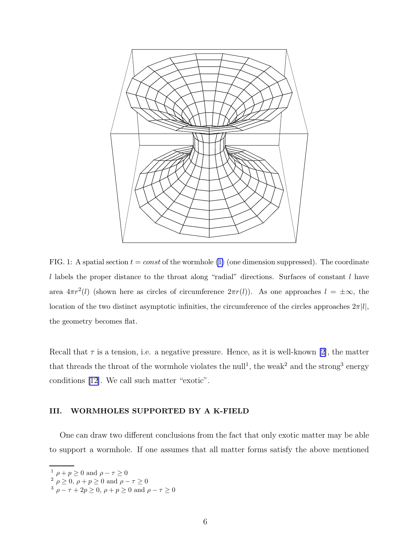<span id="page-5-0"></span>

FIG. 1: A spatial section  $t = const$  of the wormhole [\(1\)](#page-3-0) (one dimension suppressed). The coordinate  $l$  labels the proper distance to the throat along "radial" directions. Surfaces of constant  $l$  have area  $4\pi r^2(l)$  (shown here as circles of circumference  $2\pi r(l)$ ). As one approaches  $l = \pm \infty$ , the location of the two distinct asymptotic infinities, the circumference of the circles approaches  $2\pi$ [l], the geometry becomes flat.

Recall that  $\tau$  is a tension, i.e. a negative pressure. Hence, as it is well-known [\[2\]](#page-21-0), the matter that threads the throat of the wormhole violates the null<sup>1</sup>, the weak<sup>2</sup> and the strong<sup>3</sup> energy conditions [\[12\]](#page-21-0). We call such matter "exotic".

## III. WORMHOLES SUPPORTED BY A K-FIELD

One can draw two different conclusions from the fact that only exotic matter may be able to support a wormhole. If one assumes that all matter forms satisfy the above mentioned

 $\frac{1}{\rho}$   $\rho$  +  $p \ge 0$  and  $\rho - \tau \ge 0$ 

 $\frac{2}{\rho}$   $\rho \ge 0$ ,  $\rho + p \ge 0$  and  $\rho - \tau \ge 0$ 

<sup>&</sup>lt;sup>3</sup>  $\rho - \tau + 2p \ge 0$ ,  $\rho + p \ge 0$  and  $\rho - \tau \ge 0$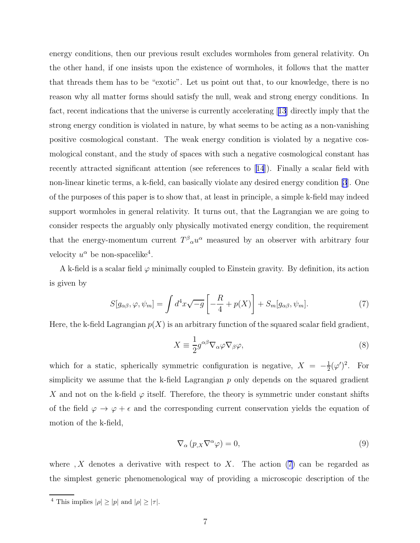<span id="page-6-0"></span>energy conditions, then our previous result excludes wormholes from general relativity. On the other hand, if one insists upon the existence of wormholes, it follows that the matter that threads them has to be "exotic". Let us point out that, to our knowledge, there is no reason why all matter forms should satisfy the null, weak and strong energy conditions. In fact, recent indications that the universe is currently accelerating[[13](#page-21-0)] directly imply that the strong energy condition is violated in nature, by what seems to be acting as a non-vanishing positive cosmological constant. The weak energy condition is violated by a negative cosmological constant, and the study of spaces with such a negative cosmological constant has recently attracted significant attention (see references to[[14](#page-22-0)]). Finally a scalar field with non-linear kinetic terms, a k-field, can basically violate any desired energy condition [\[3](#page-21-0)]. One of the purposes of this paper is to show that, at least in principle, a simple k-field may indeed support wormholes in general relativity. It turns out, that the Lagrangian we are going to consider respects the arguably only physically motivated energy condition, the requirement that the energy-momentum current  $T^{\beta}{}_{\alpha}u^{\alpha}$  measured by an observer with arbitrary four velocity  $u^{\alpha}$  be non-spacelike<sup>4</sup>.

A k-field is a scalar field  $\varphi$  minimally coupled to Einstein gravity. By definition, its action is given by

$$
S[g_{\alpha\beta}, \varphi, \psi_m] = \int d^4x \sqrt{-g} \left[ -\frac{R}{4} + p(X) \right] + S_m[g_{\alpha\beta}, \psi_m]. \tag{7}
$$

Here, the k-field Lagrangian  $p(X)$  is an arbitrary function of the squared scalar field gradient,

$$
X \equiv \frac{1}{2} g^{\alpha \beta} \nabla_{\alpha} \varphi \nabla_{\beta} \varphi, \tag{8}
$$

which for a static, spherically symmetric configuration is negative,  $X = -\frac{1}{2}$  $\frac{1}{2}(\varphi')^2$ . For simplicity we assume that the k-field Lagrangian  $p$  only depends on the squared gradient X and not on the k-field  $\varphi$  itself. Therefore, the theory is symmetric under constant shifts of the field  $\varphi \to \varphi + \epsilon$  and the corresponding current conservation yields the equation of motion of the k-field,

$$
\nabla_{\alpha} (p_{,X} \nabla^{\alpha} \varphi) = 0, \qquad (9)
$$

where, X denotes a derivative with respect to X. The action  $(7)$  can be regarded as the simplest generic phenomenological way of providing a microscopic description of the

<sup>&</sup>lt;sup>4</sup> This implies  $|\rho| \geq |p|$  and  $|\rho| \geq |\tau|$ .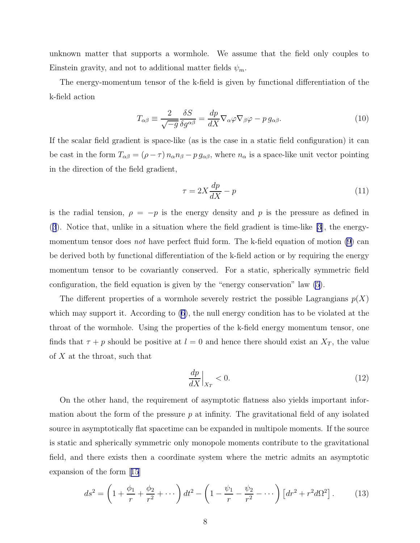<span id="page-7-0"></span>unknown matter that supports a wormhole. We assume that the field only couples to Einstein gravity, and not to additional matter fields  $\psi_m$ .

The energy-momentum tensor of the k-field is given by functional differentiation of the k-field action

$$
T_{\alpha\beta} \equiv \frac{2}{\sqrt{-g}} \frac{\delta S}{\delta g^{\alpha\beta}} = \frac{dp}{dX} \nabla_{\alpha} \varphi \nabla_{\beta} \varphi - p g_{\alpha\beta}.
$$
 (10)

If the scalar field gradient is space-like (as is the case in a static field configuration) it can be cast in the form  $T_{\alpha\beta} = (\rho - \tau) n_{\alpha} n_{\beta} - p g_{\alpha\beta}$ , where  $n_{\alpha}$  is a space-like unit vector pointing in the direction of the field gradient,

$$
\tau = 2X \frac{dp}{dX} - p \tag{11}
$$

is the radial tension,  $\rho = -p$  is the energy density and p is the pressure as defined in ([3](#page-4-0)). Notice that, unlike in a situation where the field gradient is time-like [\[3](#page-21-0)], the energymomentum tensor does *not* have perfect fluid form. The k-field equation of motion  $(9)$  can be derived both by functional differentiation of the k-field action or by requiring the energy momentum tensor to be covariantly conserved. For a static, spherically symmetric field configuration, the field equation is given by the "energy conservation" law [\(5](#page-4-0)).

The different properties of a wormhole severely restrict the possible Lagrangians  $p(X)$ which may support it. According to([6\)](#page-4-0), the null energy condition has to be violated at the throat of the wormhole. Using the properties of the k-field energy momentum tensor, one finds that  $\tau + p$  should be positive at  $l = 0$  and hence there should exist an  $X_T$ , the value of X at the throat, such that

$$
\left. \frac{dp}{dX} \right|_{X_T} < 0. \tag{12}
$$

On the other hand, the requirement of asymptotic flatness also yields important information about the form of the pressure  $p$  at infinity. The gravitational field of any isolated source in asymptotically flat spacetime can be expanded in multipole moments. If the source is static and spherically symmetric only monopole moments contribute to the gravitational field, and there exists then a coordinate system where the metric admits an asymptotic expansion of the form[[15](#page-22-0)]

$$
ds^{2} = \left(1 + \frac{\phi_{1}}{r} + \frac{\phi_{2}}{r^{2}} + \cdots\right)dt^{2} - \left(1 - \frac{\psi_{1}}{r} - \frac{\psi_{2}}{r^{2}} - \cdots\right)\left[dr^{2} + r^{2}d\Omega^{2}\right].
$$
 (13)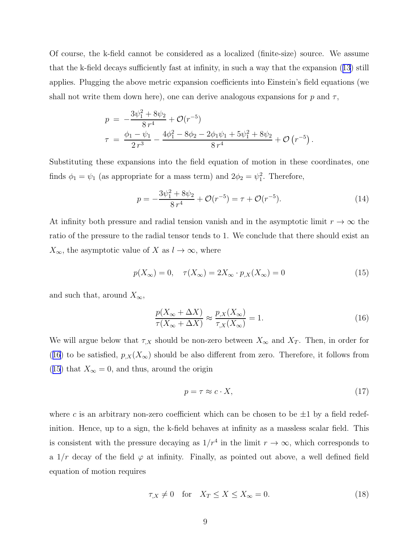<span id="page-8-0"></span>Of course, the k-field cannot be considered as a localized (finite-size) source. We assume that the k-field decays sufficiently fast at infinity, in such a way that the expansion([13](#page-7-0)) still applies. Plugging the above metric expansion coefficients into Einstein's field equations (we shall not write them down here), one can derive analogous expansions for p and  $\tau$ ,

$$
p = -\frac{3\psi_1^2 + 8\psi_2}{8 r^4} + \mathcal{O}(r^{-5})
$$
  

$$
\tau = \frac{\phi_1 - \psi_1}{2 r^3} - \frac{4\phi_1^2 - 8\phi_2 - 2\phi_1\psi_1 + 5\psi_1^2 + 8\psi_2}{8 r^4} + \mathcal{O}(r^{-5}).
$$

Substituting these expansions into the field equation of motion in these coordinates, one finds  $\phi_1 = \psi_1$  (as appropriate for a mass term) and  $2\phi_2 = \psi_1^2$ . Therefore,

$$
p = -\frac{3\psi_1^2 + 8\psi_2}{8r^4} + \mathcal{O}(r^{-5}) = \tau + \mathcal{O}(r^{-5}).\tag{14}
$$

At infinity both pressure and radial tension vanish and in the asymptotic limit  $r \to \infty$  the ratio of the pressure to the radial tensor tends to 1. We conclude that there should exist an  $X_{\infty}$ , the asymptotic value of X as  $l \to \infty$ , where

$$
p(X_{\infty}) = 0, \quad \tau(X_{\infty}) = 2X_{\infty} \cdot p_{,X}(X_{\infty}) = 0 \tag{15}
$$

and such that, around  $X_{\infty}$ ,

$$
\frac{p(X_{\infty} + \Delta X)}{\tau(X_{\infty} + \Delta X)} \approx \frac{p_{,X}(X_{\infty})}{\tau_{,X}(X_{\infty})} = 1.
$$
\n(16)

We will argue below that  $\tau_{,X}$  should be non-zero between  $X_{\infty}$  and  $X_T$ . Then, in order for (16) to be satisfied,  $p_{,X}(X_\infty)$  should be also different from zero. Therefore, it follows from (15) that  $X_{\infty} = 0$ , and thus, around the origin

$$
p = \tau \approx c \cdot X,\tag{17}
$$

where c is an arbitrary non-zero coefficient which can be chosen to be  $\pm 1$  by a field redefinition. Hence, up to a sign, the k-field behaves at infinity as a massless scalar field. This is consistent with the pressure decaying as  $1/r^4$  in the limit  $r \to \infty$ , which corresponds to a  $1/r$  decay of the field  $\varphi$  at infinity. Finally, as pointed out above, a well defined field equation of motion requires

$$
\tau_{,X} \neq 0 \quad \text{for} \quad X_T \le X \le X_{\infty} = 0. \tag{18}
$$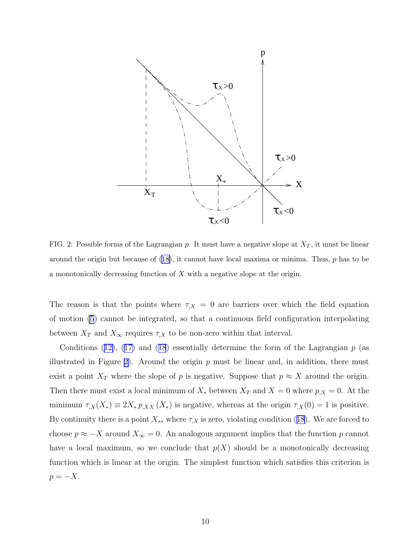<span id="page-9-0"></span>

FIG. 2: Possible forms of the Lagrangian p. It must have a negative slope at  $X_T$ , it must be linear aroundthe origin but because of  $(18)$  $(18)$ , it cannot have local maxima or minima. Thus, p has to be a monotonically decreasing function of  $X$  with a negative slope at the origin.

The reason is that the points where  $\tau_{,X} = 0$  are barriers over which the field equation of motion [\(5](#page-4-0)) cannot be integrated, so that a continuous field configuration interpolating between  $X_T$  and  $X_{\infty}$  requires  $\tau_{,X}$  to be non-zero within that interval.

Conditions([12\)](#page-7-0), [\(17\)](#page-8-0) and ([18](#page-8-0)) essentially determine the form of the Lagrangian  $p$  (as illustrated in Figure 2). Around the origin  $p$  must be linear and, in addition, there must exist a point  $X_T$  where the slope of p is negative. Suppose that  $p \approx X$  around the origin. Then there must exist a local minimum of  $X_*$  between  $X_T$  and  $X = 0$  where  $p_{,X} = 0$ . At the minimum  $\tau_{,X}(X_*) \equiv 2X_* p_{,XX}(X_*)$  is negative, whereas at the origin  $\tau_{,X}(0) = 1$  is positive. Bycontinuity there is a point  $X_{**}$  where  $\tau_{,X}$  is zero, violating condition ([18](#page-8-0)). We are forced to choose  $p \approx -X$  around  $X_{\infty} = 0$ . An analogous argument implies that the function p cannot have a local maximum, so we conclude that  $p(X)$  should be a monotonically decreasing function which is linear at the origin. The simplest function which satisfies this criterion is  $p = -X$ .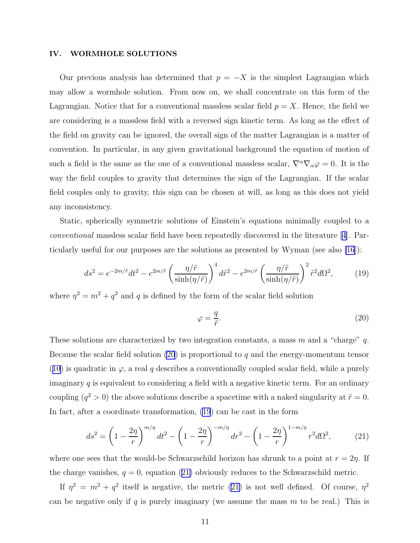#### <span id="page-10-0"></span>IV. WORMHOLE SOLUTIONS

Our previous analysis has determined that  $p = -X$  is the simplest Lagrangian which may allow a wormhole solution. From now on, we shall concentrate on this form of the Lagrangian. Notice that for a conventional massless scalar field  $p = X$ . Hence, the field we are considering is a massless field with a reversed sign kinetic term. As long as the effect of the field on gravity can be ignored, the overall sign of the matter Lagrangian is a matter of convention. In particular, in any given gravitational background the equation of motion of such a field is the same as the one of a conventional massless scalar,  $\nabla^{\alpha}\nabla_{\alpha}\varphi=0$ . It is the way the field couples to gravity that determines the sign of the Lagrangian. If the scalar field couples only to gravity, this sign can be chosen at will, as long as this does not yield any inconsistency.

Static, spherically symmetric solutions of Einstein's equations minimally coupled to a conventional massless scalar field have been repeatedly discovered in the literature[[4\]](#page-21-0). Particularly useful for our purposes are the solutions as presented by Wyman (see also [\[16](#page-22-0)]):

$$
ds^2 = e^{-2m/\tilde{r}}dt^2 - e^{2m/\tilde{r}} \left(\frac{\eta/\tilde{r}}{\sinh(\eta/\tilde{r})}\right)^4 d\tilde{r}^2 - e^{2m/\tilde{r}} \left(\frac{\eta/\tilde{r}}{\sinh(\eta/\tilde{r})}\right)^2 \tilde{r}^2 d\Omega^2, \tag{19}
$$

where  $\eta^2 = m^2 + q^2$  and q is defined by the form of the scalar field solution

$$
\varphi = \frac{q}{\tilde{r}}.\tag{20}
$$

These solutions are characterized by two integration constants, a mass  $m$  and a "charge"  $q$ . Because the scalar field solution  $(20)$  is proportional to q and the energy-momentum tensor ([10](#page-7-0)) is quadratic in  $\varphi$ , a real q describes a conventionally coupled scalar field, while a purely imaginary  $q$  is equivalent to considering a field with a negative kinetic term. For an ordinary coupling  $(q^2 > 0)$  the above solutions describe a spacetime with a naked singularity at  $\tilde{r} = 0$ . In fact, after a coordinate transformation, (19) can be cast in the form

$$
ds^{2} = \left(1 - \frac{2\eta}{r}\right)^{m/\eta} dt^{2} - \left(1 - \frac{2\eta}{r}\right)^{-m/\eta} dr^{2} - \left(1 - \frac{2\eta}{r}\right)^{1 - m/\eta} r^{2} d\Omega^{2},
$$
(21)

where one sees that the would-be Schwarzschild horizon has shrunk to a point at  $r = 2\eta$ . If the charge vanishes,  $q = 0$ , equation (21) obviously reduces to the Schwarzschild metric.

If  $\eta^2 = m^2 + q^2$  itself is negative, the metric (21) is not well defined. Of course,  $\eta^2$ can be negative only if q is purely imaginary (we assume the mass  $m$  to be real.) This is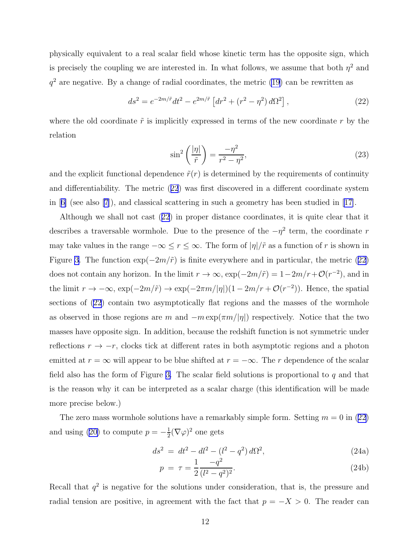<span id="page-11-0"></span>physically equivalent to a real scalar field whose kinetic term has the opposite sign, which is precisely the coupling we are interested in. In what follows, we assume that both  $\eta^2$  and  $q<sup>2</sup>$  are negative. By a change of radial coordinates, the metric [\(19](#page-10-0)) can be rewritten as

$$
ds^{2} = e^{-2m/\tilde{r}}dt^{2} - e^{2m/\tilde{r}} \left[ dr^{2} + (r^{2} - \eta^{2}) d\Omega^{2} \right],
$$
\n(22)

where the old coordinate  $\tilde{r}$  is implicitly expressed in terms of the new coordinate r by the relation

$$
\sin^2\left(\frac{|\eta|}{\tilde{r}}\right) = \frac{-\eta^2}{r^2 - \eta^2},\tag{23}
$$

and the explicit functional dependence  $\tilde{r}(r)$  is determined by the requirements of continuity and differentiability. The metric (22) was first discovered in a different coordinate system in[[6\]](#page-21-0) (see also [\[7\]](#page-21-0)), and classical scattering in such a geometry has been studied in [\[17\]](#page-22-0).

Although we shall not cast (22) in proper distance coordinates, it is quite clear that it describes a traversable wormhole. Due to the presence of the  $-\eta^2$  term, the coordinate r may take values in the range  $-\infty \le r \le \infty$ . The form of  $|\eta|/\tilde{r}$  as a function of r is shown in Figure [3](#page-12-0). The function  $\exp(-2m/\tilde{r})$  is finite everywhere and in particular, the metric (22) does not contain any horizon. In the limit  $r \to \infty$ ,  $\exp(-2m/\tilde{r}) = 1 - 2m/r + \mathcal{O}(r^{-2})$ , and in the limit  $r \to -\infty$ ,  $\exp(-2m/\tilde{r}) \to \exp(-2\pi m/|\eta|)(1-2m/r+\mathcal{O}(r^{-2}))$ . Hence, the spatial sections of (22) contain two asymptotically flat regions and the masses of the wormhole as observed in those regions are m and  $-m \exp(\pi m/|\eta|)$  respectively. Notice that the two masses have opposite sign. In addition, because the redshift function is not symmetric under reflections  $r \to -r$ , clocks tick at different rates in both asymptotic regions and a photon emitted at  $r = \infty$  will appear to be blue shifted at  $r = -\infty$ . The r dependence of the scalar field also has the form of Figure [3.](#page-12-0) The scalar field solutions is proportional to q and that is the reason why it can be interpreted as a scalar charge (this identification will be made more precise below.)

The zero mass wormhole solutions have a remarkably simple form. Setting  $m = 0$  in (22) andusing ([20\)](#page-10-0) to compute  $p = -\frac{1}{2}$  $\frac{1}{2}(\nabla\varphi)^2$  one gets

$$
ds^2 = dt^2 - dl^2 - (l^2 - q^2) d\Omega^2,
$$
\n(24a)

$$
p = \tau = \frac{1}{2} \frac{-q^2}{(l^2 - q^2)^2}.
$$
\n(24b)

Recall that  $q^2$  is negative for the solutions under consideration, that is, the pressure and radial tension are positive, in agreement with the fact that  $p = -X > 0$ . The reader can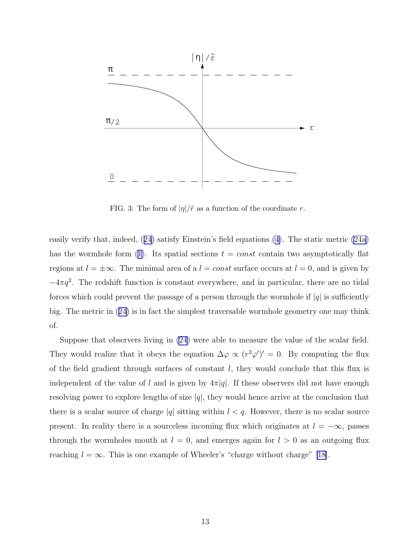<span id="page-12-0"></span>

FIG. 3: The form of  $|\eta|/\tilde{r}$  as a function of the coordinate r.

easily verify that, indeed,([24](#page-11-0)) satisfy Einstein's field equations [\(4\)](#page-4-0). The static metric [\(24a\)](#page-11-0) hasthe wormhole form ([1\)](#page-3-0). Its spatial sections  $t = const$  contain two asymptotically flat regions at  $l = \pm \infty$ . The minimal area of a  $l = const$  surface occurs at  $l = 0$ , and is given by  $-4\pi q^2$ . The redshift function is constant everywhere, and in particular, there are no tidal forces which could prevent the passage of a person through the wormhole if  $|q|$  is sufficiently big. The metric in([24\)](#page-11-0) is in fact the simplest traversable wormhole geometry one may think of.

Suppose that observers living in [\(24](#page-11-0)) were able to measure the value of the scalar field. They would realize that it obeys the equation  $\Delta \varphi \propto (r^2 \varphi')' = 0$ . By computing the flux of the field gradient through surfaces of constant  $l$ , they would conclude that this flux is independent of the value of l and is given by  $4\pi|q|$ . If these observers did not have enough resolving power to explore lengths of size  $|q|$ , they would hence arrive at the conclusion that there is a scalar source of charge |q| sitting within  $l < q$ . However, there is no scalar source present. In reality there is a sourceless incoming flux which originates at  $l = -\infty$ , passes through the wormholes mouth at  $l = 0$ , and emerges again for  $l > 0$  as an outgoing flux reaching  $l = \infty$ . This is one example of Wheeler's "charge without charge" [\[18\]](#page-22-0).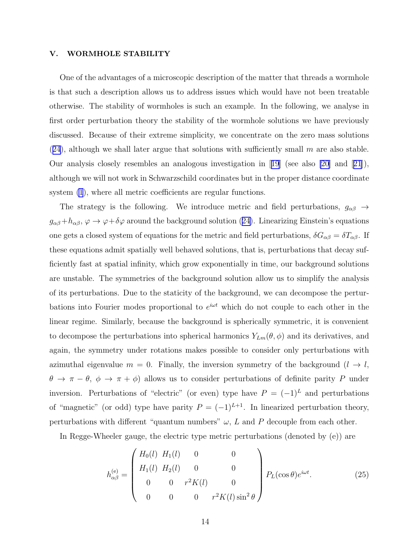## V. WORMHOLE STABILITY

One of the advantages of a microscopic description of the matter that threads a wormhole is that such a description allows us to address issues which would have not been treatable otherwise. The stability of wormholes is such an example. In the following, we analyse in first order perturbation theory the stability of the wormhole solutions we have previously discussed. Because of their extreme simplicity, we concentrate on the zero mass solutions  $(24)$  $(24)$  $(24)$ , although we shall later argue that solutions with sufficiently small m are also stable. Our analysis closely resembles an analogous investigation in[[19](#page-22-0)] (see also [\[20\]](#page-22-0) and[[21](#page-22-0)]), although we will not work in Schwarzschild coordinates but in the proper distance coordinate system  $(1)$ , where all metric coefficients are regular functions.

The strategy is the following. We introduce metric and field perturbations,  $g_{\alpha\beta} \rightarrow$  $g_{\alpha\beta}+h_{\alpha\beta}$ , $\varphi \to \varphi+\delta\varphi$  around the background solution ([24\)](#page-11-0). Linearizing Einstein's equations one gets a closed system of equations for the metric and field perturbations,  $\delta G_{\alpha\beta} = \delta T_{\alpha\beta}$ . If these equations admit spatially well behaved solutions, that is, perturbations that decay sufficiently fast at spatial infinity, which grow exponentially in time, our background solutions are unstable. The symmetries of the background solution allow us to simplify the analysis of its perturbations. Due to the staticity of the background, we can decompose the perturbations into Fourier modes proportional to  $e^{i\omega t}$  which do not couple to each other in the linear regime. Similarly, because the background is spherically symmetric, it is convenient to decompose the perturbations into spherical harmonics  $Y_{Lm}(\theta, \phi)$  and its derivatives, and again, the symmetry under rotations makes possible to consider only perturbations with azimuthal eigenvalue  $m = 0$ . Finally, the inversion symmetry of the background  $(l \rightarrow l,$  $\theta \to \pi - \theta$ ,  $\phi \to \pi + \phi$ ) allows us to consider perturbations of definite parity P under inversion. Perturbations of "electric" (or even) type have  $P = (-1)^L$  and perturbations of "magnetic" (or odd) type have parity  $P = (-1)^{L+1}$ . In linearized perturbation theory, perturbations with different "quantum numbers"  $\omega$ , L and P decouple from each other.

In Regge-Wheeler gauge, the electric type metric perturbations (denoted by (e)) are

$$
h_{\alpha\beta}^{(e)} = \begin{pmatrix} H_0(l) & H_1(l) & 0 & 0 \\ H_1(l) & H_2(l) & 0 & 0 \\ 0 & 0 & r^2 K(l) & 0 \\ 0 & 0 & 0 & r^2 K(l) \sin^2 \theta \end{pmatrix} P_L(\cos \theta) e^{i\omega t}.
$$
 (25)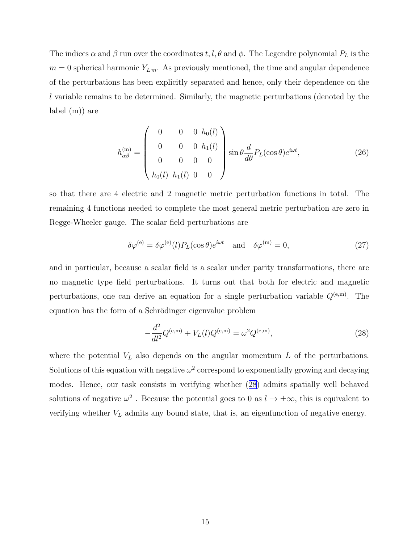<span id="page-14-0"></span>The indices  $\alpha$  and  $\beta$  run over the coordinates t, l,  $\theta$  and  $\phi$ . The Legendre polynomial  $P_L$  is the  $m = 0$  spherical harmonic  $Y_{L m}$ . As previously mentioned, the time and angular dependence of the perturbations has been explicitly separated and hence, only their dependence on the l variable remains to be determined. Similarly, the magnetic perturbations (denoted by the label (m)) are

$$
h_{\alpha\beta}^{(\rm m)} = \begin{pmatrix} 0 & 0 & 0 & h_0(l) \\ 0 & 0 & 0 & h_1(l) \\ 0 & 0 & 0 & 0 \\ h_0(l) & h_1(l) & 0 & 0 \end{pmatrix} \sin \theta \frac{d}{d\theta} P_L(\cos \theta) e^{i\omega t}, \qquad (26)
$$

so that there are 4 electric and 2 magnetic metric perturbation functions in total. The remaining 4 functions needed to complete the most general metric perturbation are zero in Regge-Wheeler gauge. The scalar field perturbations are

$$
\delta \varphi^{(e)} = \delta \varphi^{(e)}(l) P_L(\cos \theta) e^{i\omega t} \quad \text{and} \quad \delta \varphi^{(m)} = 0,
$$
\n(27)

and in particular, because a scalar field is a scalar under parity transformations, there are no magnetic type field perturbations. It turns out that both for electric and magnetic perturbations, one can derive an equation for a single perturbation variable  $Q^{(e,m)}$ . The equation has the form of a Schrödinger eigenvalue problem

$$
-\frac{d^2}{dl^2}Q^{(e,m)} + V_L(l)Q^{(e,m)} = \omega^2 Q^{(e,m)},\tag{28}
$$

where the potential  $V<sub>L</sub>$  also depends on the angular momentum  $L$  of the perturbations. Solutions of this equation with negative  $\omega^2$  correspond to exponentially growing and decaying modes. Hence, our task consists in verifying whether (28) admits spatially well behaved solutions of negative  $\omega^2$ . Because the potential goes to 0 as  $l \to \pm \infty$ , this is equivalent to verifying whether  $V<sub>L</sub>$  admits any bound state, that is, an eigenfunction of negative energy.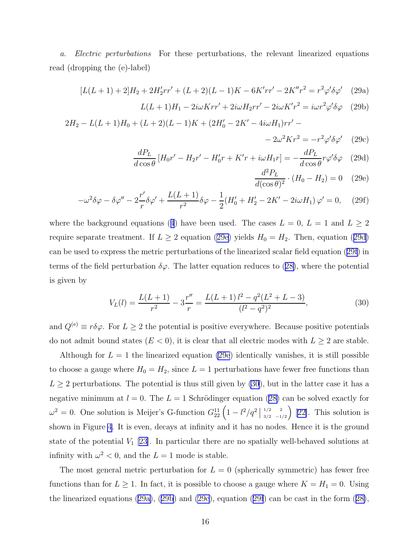<span id="page-15-0"></span>a. Electric perturbations For these perturbations, the relevant linearized equations read (dropping the (e)-label)

$$
[L(L+1) + 2]H_2 + 2H'_2rr' + (L+2)(L-1)K - 6K'rr' - 2K''r^2 = r^2\varphi'\delta\varphi'
$$
 (29a)

$$
L(L+1)H_1 - 2i\omega Krr' + 2i\omega H_2rr' - 2i\omega K'r^2 = i\omega r^2 \varphi' \delta\varphi
$$
 (29b)

 $2H_2 - L(L+1)H_0 + (L+2)(L-1)K + (2H'_0 - 2K' - 4i\omega H_1)rr' -$ 

$$
-2\omega^2 Kr^2 = -r^2\varphi'\delta\varphi' \quad (29c)
$$

$$
\frac{dP_L}{d\cos\theta} \left[ H_0 r' - H_2 r' - H'_0 r + K' r + i\omega H_1 r \right] = -\frac{dP_L}{d\cos\theta} r\varphi' \delta\varphi \quad (29d)
$$

$$
\frac{d^2 P_L}{d(\cos \theta)^2} \cdot (H_0 - H_2) = 0 \quad (29e)
$$

$$
-\omega^2 \delta \varphi - \delta \varphi'' - 2\frac{r'}{r} \delta \varphi' + \frac{L(L+1)}{r^2} \delta \varphi - \frac{1}{2} (H_0' + H_2' - 2K' - 2i\omega H_1) \varphi' = 0, \quad (29f)
$$

wherethe background equations ([4](#page-4-0)) have been used. The cases  $L = 0, L = 1$  and  $L \geq 2$ require separate treatment. If  $L \geq 2$  equation (29e) yields  $H_0 = H_2$ . Then, equation (29d) can be used to express the metric perturbations of the linearized scalar field equation (29f) in termsof the field perturbation  $\delta\varphi$ . The latter equation reduces to ([28\)](#page-14-0), where the potential is given by

$$
V_L(l) = \frac{L(L+1)}{r^2} - 3\frac{r''}{r} = \frac{L(L+1)l^2 - q^2(L^2 + L - 3)}{(l^2 - q^2)^2},
$$
\n(30)

and  $Q^{(e)} \equiv r \delta \varphi$ . For  $L \geq 2$  the potential is positive everywhere. Because positive potentials do not admit bound states  $(E < 0)$ , it is clear that all electric modes with  $L \geq 2$  are stable.

Although for  $L = 1$  the linearized equation (29e) identically vanishes, it is still possible to choose a gauge where  $H_0 = H_2$ , since  $L = 1$  perturbations have fewer free functions than  $L \geq 2$  perturbations. The potential is thus still given by (30), but in the latter case it has a negativeminimum at  $l = 0$ . The  $L = 1$  Schrödinger equation ([28\)](#page-14-0) can be solved exactly for  $\omega^2 = 0$ . One solution is Meijer's G-function  $G_{22}^{11} \left(1 - l^2/q^2\right)$  $1/2$  2  $\binom{1/2}{3/2}$   $\binom{2}{2}$ . This solution is shown in Figure [4](#page-16-0). It is even, decays at infinity and it has no nodes. Hence it is the ground state of the potential  $V_1$  [\[23\]](#page-22-0). In particular there are no spatially well-behaved solutions at infinity with  $\omega^2 < 0$ , and the  $L = 1$  mode is stable.

The most general metric perturbation for  $L = 0$  (spherically symmetric) has fewer free functions than for  $L \geq 1$ . In fact, it is possible to choose a gauge where  $K = H_1 = 0$ . Using the linearized equations (29a), (29b) and (29c), equation (29f) can be cast in the form([28\)](#page-14-0),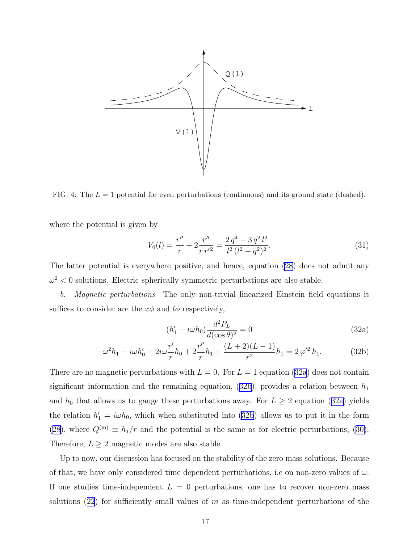<span id="page-16-0"></span>

FIG. 4: The  $L = 1$  potential for even perturbations (continuous) and its ground state (dashed).

where the potential is given by

$$
V_0(l) = \frac{r''}{r} + 2\frac{r''}{r r'^2} = \frac{2 q^4 - 3 q^2 l^2}{l^2 (l^2 - q^2)^2}.
$$
\n(31)

The latter potential is everywhere positive, and hence, equation [\(28](#page-14-0)) does not admit any  $\omega^2$  < 0 solutions. Electric spherically symmetric perturbations are also stable.

b. Magnetic perturbations The only non-trivial linearized Einstein field equations it suffices to consider are the  $x\phi$  and  $l\phi$  respectively,

$$
(h_1' - i\omega h_0) \frac{d^2 P_L}{d(\cos \theta)^2} = 0
$$
\n(32a)

$$
-\omega^2 h_1 - i\omega h'_0 + 2i\omega \frac{r'}{r} h_0 + 2\frac{r''}{r} h_1 + \frac{(L+2)(L-1)}{r^2} h_1 = 2\,\varphi'^2 h_1. \tag{32b}
$$

There are no magnetic perturbations with  $L = 0$ . For  $L = 1$  equation (32a) does not contain significant information and the remaining equation,  $(32b)$ , provides a relation between  $h_1$ and  $h_0$  that allows us to gauge these perturbations away. For  $L \geq 2$  equation (32a) yields the relation  $h'_1 = i\omega h_0$ , which when substituted into (32b) allows us to put it in the form ([28](#page-14-0)),where  $Q^{(m)} \equiv h_1/r$  and the potential is the same as for electric perturbations, ([30\)](#page-15-0). Therefore,  $L \geq 2$  magnetic modes are also stable.

Up to now, our discussion has focused on the stability of the zero mass solutions. Because of that, we have only considered time dependent perturbations, i.e on non-zero values of  $\omega$ . If one studies time-independent  $L = 0$  perturbations, one has to recover non-zero mass solutions([22](#page-11-0)) for sufficiently small values of m as time-independent perturbations of the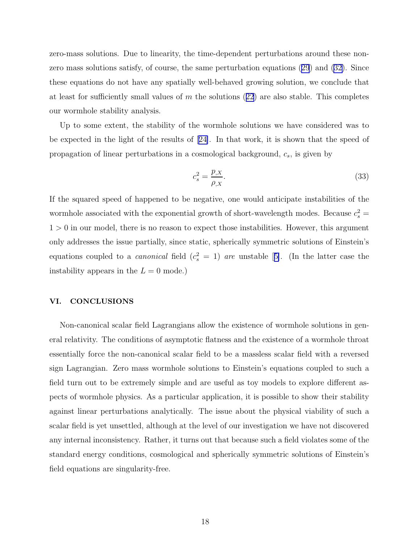<span id="page-17-0"></span>zero-mass solutions. Due to linearity, the time-dependent perturbations around these nonzero mass solutions satisfy, of course, the same perturbation equations([29](#page-15-0)) and([32\)](#page-16-0). Since these equations do not have any spatially well-behaved growing solution, we conclude that atleast for sufficiently small values of  $m$  the solutions ([22](#page-11-0)) are also stable. This completes our wormhole stability analysis.

Up to some extent, the stability of the wormhole solutions we have considered was to be expected in the light of the results of[[24\]](#page-22-0). In that work, it is shown that the speed of propagation of linear perturbations in a cosmological background,  $c_s$ , is given by

$$
c_s^2 = \frac{p_{,X}}{\rho_{,X}}.\tag{33}
$$

If the squared speed of happened to be negative, one would anticipate instabilities of the wormhole associated with the exponential growth of short-wavelength modes. Because  $c_s^2$  =  $1 > 0$  in our model, there is no reason to expect those instabilities. However, this argument only addresses the issue partially, since static, spherically symmetric solutions of Einstein's equationscoupled to a *canonical* field  $(c_s^2 = 1)$  are unstable [[5\]](#page-21-0). (In the latter case the instability appears in the  $L = 0$  mode.)

## VI. CONCLUSIONS

Non-canonical scalar field Lagrangians allow the existence of wormhole solutions in general relativity. The conditions of asymptotic flatness and the existence of a wormhole throat essentially force the non-canonical scalar field to be a massless scalar field with a reversed sign Lagrangian. Zero mass wormhole solutions to Einstein's equations coupled to such a field turn out to be extremely simple and are useful as toy models to explore different aspects of wormhole physics. As a particular application, it is possible to show their stability against linear perturbations analytically. The issue about the physical viability of such a scalar field is yet unsettled, although at the level of our investigation we have not discovered any internal inconsistency. Rather, it turns out that because such a field violates some of the standard energy conditions, cosmological and spherically symmetric solutions of Einstein's field equations are singularity-free.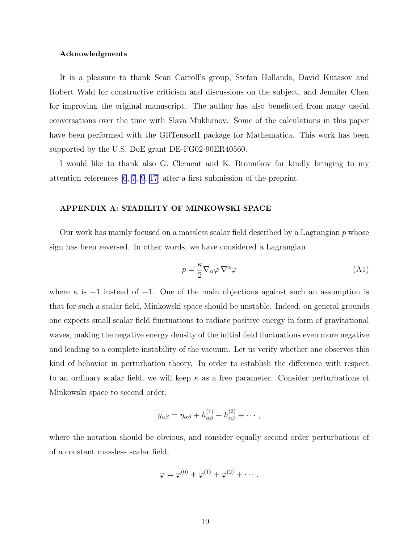#### <span id="page-18-0"></span>Acknowledgments

It is a pleasure to thank Sean Carroll's group, Stefan Hollands, David Kutasov and Robert Wald for constructive criticism and discussions on the subject, and Jennifer Chen for improving the original manuscript. The author has also benefitted from many useful conversations over the time with Slava Mukhanov. Some of the calculations in this paper have been performed with the GRTensorII package for Mathematica. This work has been supported by the U.S. DoE grant DE-FG02-90ER40560.

I would like to thank also G. Clement and K. Bronnikov for kindly bringing to my attention references [\[6](#page-21-0), [7](#page-21-0), [9](#page-21-0), [17](#page-22-0)] after a first submission of the preprint.

#### APPENDIX A: STABILITY OF MINKOWSKI SPACE

Our work has mainly focused on a massless scalar field described by a Lagrangian  $p$  whose sign has been reversed. In other words, we have considered a Lagrangian

$$
p = \frac{\kappa}{2} \nabla_{\alpha} \varphi \, \nabla^{\alpha} \varphi \tag{A1}
$$

where  $\kappa$  is  $-1$  instead of  $+1$ . One of the main objections against such an assumption is that for such a scalar field, Minkowski space should be unstable. Indeed, on general grounds one expects small scalar field fluctuations to radiate positive energy in form of gravitational waves, making the negative energy density of the initial field fluctuations even more negative and leading to a complete instability of the vacuum. Let us verify whether one observes this kind of behavior in perturbation theory. In order to establish the difference with respect to an ordinary scalar field, we will keep  $\kappa$  as a free parameter. Consider perturbations of Minkowski space to second order,

$$
g_{\alpha\beta} = \eta_{\alpha\beta} + h_{\alpha\beta}^{(1)} + h_{\alpha\beta}^{(2)} + \cdots,
$$

where the notation should be obvious, and consider equally second order perturbations of of a constant massless scalar field,

$$
\varphi = \varphi^{(0)} + \varphi^{(1)} + \varphi^{(2)} + \cdots,
$$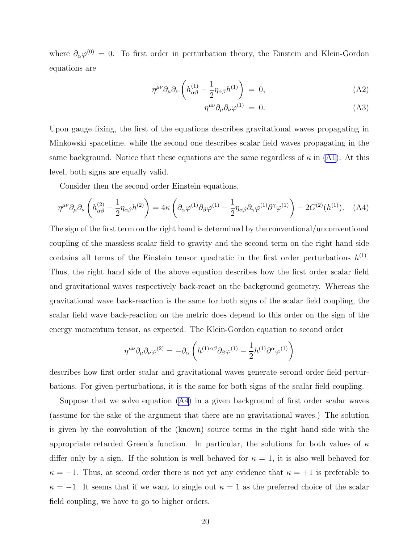where  $\partial_{\alpha}\varphi^{(0)}=0$ . To first order in perturbation theory, the Einstein and Klein-Gordon equations are

$$
\eta^{\mu\nu}\partial_{\mu}\partial_{\nu}\left(h_{\alpha\beta}^{(1)} - \frac{1}{2}\eta_{\alpha\beta}h^{(1)}\right) = 0, \tag{A2}
$$

$$
\eta^{\mu\nu}\partial_{\mu}\partial_{\nu}\varphi^{(1)} = 0. \tag{A3}
$$

Upon gauge fixing, the first of the equations describes gravitational waves propagating in Minkowski spacetime, while the second one describes scalar field waves propagating in the same background. Notice that these equations are the same regardless of  $\kappa$  in [\(A1\)](#page-18-0). At this level, both signs are equally valid.

Consider then the second order Einstein equations,

$$
\eta^{\mu\nu}\partial_{\mu}\partial_{\nu}\left(h_{\alpha\beta}^{(2)} - \frac{1}{2}\eta_{\alpha\beta}h^{(2)}\right) = 4\kappa \left(\partial_{\alpha}\varphi^{(1)}\partial_{\beta}\varphi^{(1)} - \frac{1}{2}\eta_{\alpha\beta}\partial_{\gamma}\varphi^{(1)}\partial^{\gamma}\varphi^{(1)}\right) - 2G^{(2)}(h^{(1)}). \quad (A4)
$$

The sign of the first term on the right hand is determined by the conventional/unconventional coupling of the massless scalar field to gravity and the second term on the right hand side contains all terms of the Einstein tensor quadratic in the first order perturbations  $h^{(1)}$ . Thus, the right hand side of the above equation describes how the first order scalar field and gravitational waves respectively back-react on the background geometry. Whereas the gravitational wave back-reaction is the same for both signs of the scalar field coupling, the scalar field wave back-reaction on the metric does depend to this order on the sign of the energy momentum tensor, as expected. The Klein-Gordon equation to second order

$$
\eta^{\mu\nu}\partial_{\mu}\partial_{\nu}\varphi^{(2)} = -\partial_{\alpha}\left(h^{(1)\alpha\beta}\partial_{\beta}\varphi^{(1)} - \frac{1}{2}h^{(1)}\partial^{\alpha}\varphi^{(1)}\right)
$$

describes how first order scalar and gravitational waves generate second order field perturbations. For given perturbations, it is the same for both signs of the scalar field coupling.

Suppose that we solve equation (A4) in a given background of first order scalar waves (assume for the sake of the argument that there are no gravitational waves.) The solution is given by the convolution of the (known) source terms in the right hand side with the appropriate retarded Green's function. In particular, the solutions for both values of  $\kappa$ differ only by a sign. If the solution is well behaved for  $\kappa = 1$ , it is also well behaved for  $\kappa = -1$ . Thus, at second order there is not yet any evidence that  $\kappa = +1$  is preferable to  $\kappa = -1$ . It seems that if we want to single out  $\kappa = 1$  as the preferred choice of the scalar field coupling, we have to go to higher orders.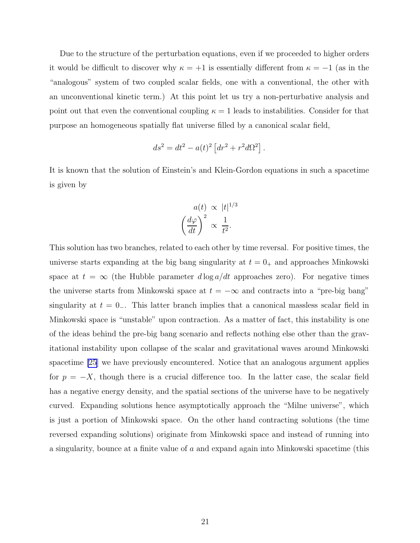Due to the structure of the perturbation equations, even if we proceeded to higher orders it would be difficult to discover why  $\kappa = +1$  is essentially different from  $\kappa = -1$  (as in the "analogous" system of two coupled scalar fields, one with a conventional, the other with an unconventional kinetic term.) At this point let us try a non-perturbative analysis and point out that even the conventional coupling  $\kappa = 1$  leads to instabilities. Consider for that purpose an homogeneous spatially flat universe filled by a canonical scalar field,

$$
ds2 = dt2 - a(t)2 [dr2 + r2d\Omega2].
$$

It is known that the solution of Einstein's and Klein-Gordon equations in such a spacetime is given by

$$
a(t) \propto |t|^{1/3}
$$

$$
\left(\frac{d\varphi}{dt}\right)^2 \propto \frac{1}{t^2}.
$$

This solution has two branches, related to each other by time reversal. For positive times, the universe starts expanding at the big bang singularity at  $t = 0_+$  and approaches Minkowski space at  $t = \infty$  (the Hubble parameter  $d \log a/dt$  approaches zero). For negative times the universe starts from Minkowski space at  $t = -\infty$  and contracts into a "pre-big bang" singularity at  $t = 0$ . This latter branch implies that a canonical massless scalar field in Minkowski space is "unstable" upon contraction. As a matter of fact, this instability is one of the ideas behind the pre-big bang scenario and reflects nothing else other than the gravitational instability upon collapse of the scalar and gravitational waves around Minkowski spacetime [\[25\]](#page-22-0) we have previously encountered. Notice that an analogous argument applies for  $p = -X$ , though there is a crucial difference too. In the latter case, the scalar field has a negative energy density, and the spatial sections of the universe have to be negatively curved. Expanding solutions hence asymptotically approach the "Milne universe", which is just a portion of Minkowski space. On the other hand contracting solutions (the time reversed expanding solutions) originate from Minkowski space and instead of running into a singularity, bounce at a finite value of  $a$  and expand again into Minkowski spacetime (this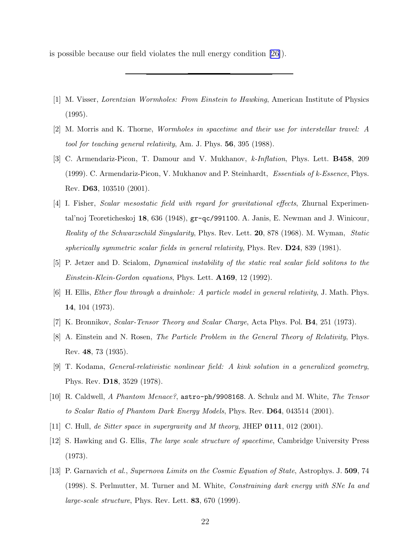<span id="page-21-0"></span>is possible because our field violates the null energy condition [\[26\]](#page-22-0)).

- [1] M. Visser, Lorentzian Wormholes: From Einstein to Hawking, American Institute of Physics (1995).
- [2] M. Morris and K. Thorne, Wormholes in spacetime and their use for interstellar travel: A tool for teaching general relativity, Am. J. Phys. 56, 395 (1988).
- [3] C. Armendariz-Picon, T. Damour and V. Mukhanov, k-Inflation, Phys. Lett. **B458**, 209 (1999). C. Armendariz-Picon, V. Mukhanov and P. Steinhardt, Essentials of k-Essence, Phys. Rev. D63, 103510 (2001).
- [4] I. Fisher, Scalar mesostatic field with regard for gravitational effects, Zhurnal Experimental'noj Teoreticheskoj 18, 636 (1948), gr-qc/991100. A. Janis, E. Newman and J. Winicour, Reality of the Schwarzschild Singularity, Phys. Rev. Lett. 20, 878 (1968). M. Wyman, Static spherically symmetric scalar fields in general relativity, Phys. Rev.  $D24$ , 839 (1981).
- [5] P. Jetzer and D. Scialom, Dynamical instability of the static real scalar field solitons to the Einstein-Klein-Gordon equations, Phys. Lett. **A169**, 12 (1992).
- [6] H. Ellis, Ether flow through a drainhole: A particle model in general relativity, J. Math. Phys. 14, 104 (1973).
- [7] K. Bronnikov, Scalar-Tensor Theory and Scalar Charge, Acta Phys. Pol. B4, 251 (1973).
- [8] A. Einstein and N. Rosen, *The Particle Problem in the General Theory of Relativity*, Phys. Rev. 48, 73 (1935).
- [9] T. Kodama, General-relativistic nonlinear field: A kink solution in a generalized geometry, Phys. Rev. D18, 3529 (1978).
- [10] R. Caldwell, A Phantom Menace?, astro-ph/9908168. A. Schulz and M. White, The Tensor to Scalar Ratio of Phantom Dark Energy Models, Phys. Rev. D64, 043514 (2001).
- [11] C. Hull, de Sitter space in supergravity and M theory, JHEP 0111, 012 (2001).
- [12] S. Hawking and G. Ellis, The large scale structure of spacetime, Cambridge University Press (1973).
- [13] P. Garnavich et al., Supernova Limits on the Cosmic Equation of State, Astrophys. J. 509, 74 (1998). S. Perlmutter, M. Turner and M. White, Constraining dark energy with SNe Ia and large-scale structure, Phys. Rev. Lett. 83, 670 (1999).